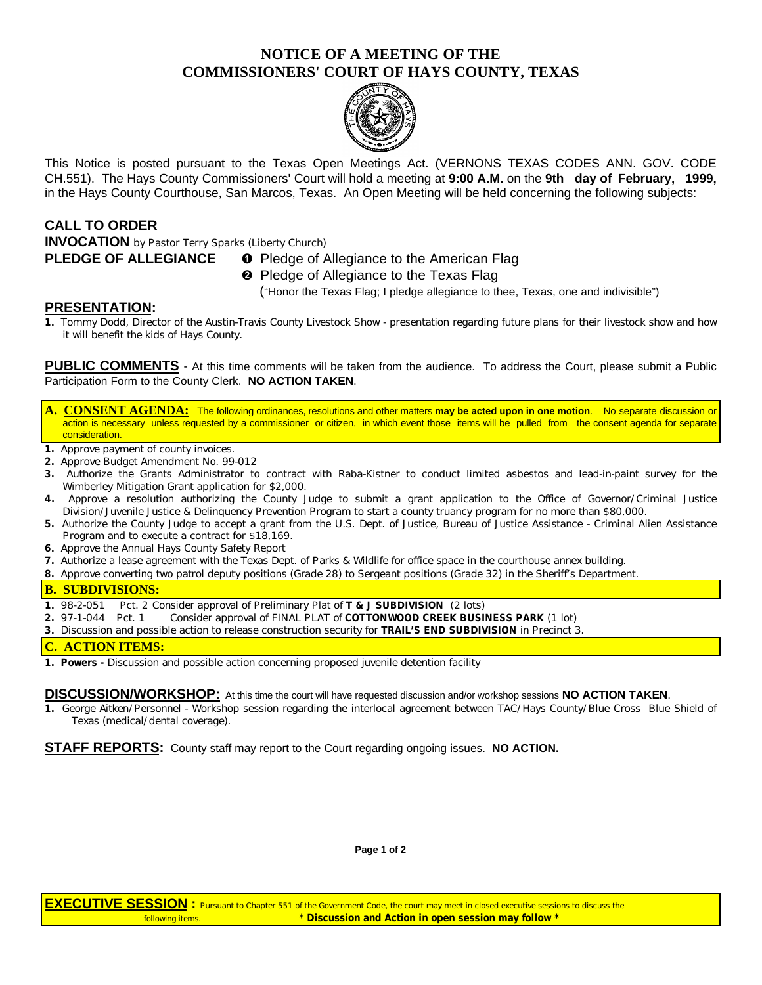# **NOTICE OF A MEETING OF THE COMMISSIONERS' COURT OF HAYS COUNTY, TEXAS**



This Notice is posted pursuant to the Texas Open Meetings Act. (VERNONS TEXAS CODES ANN. GOV. CODE CH.551). The Hays County Commissioners' Court will hold a meeting at **9:00 A.M.** on the **9th day of February, 1999,** in the Hays County Courthouse, San Marcos, Texas. An Open Meeting will be held concerning the following subjects:

## **CALL TO ORDER**

**INVOCATION** by Pastor Terry Sparks (Liberty Church)

## **PLEDGE OF ALLEGIANCE O** Pledge of Allegiance to the American Flag

**<sup>2</sup>** Pledge of Allegiance to the Texas Flag

("Honor the Texas Flag; I pledge allegiance to thee, Texas, one and indivisible")

## **PRESENTATION:**

**1.** Tommy Dodd, Director of the Austin-Travis County Livestock Show - presentation regarding future plans for their livestock show and how it will benefit the kids of Hays County.

PUBLIC COMMENTS - At this time comments will be taken from the audience. To address the Court, please submit a Public Participation Form to the County Clerk. **NO ACTION TAKEN**.

- **A. CONSENT AGENDA:** The following ordinances, resolutions and other matters **may be acted upon in one motion**. No separate discussion or action is necessary unless requested by a commissioner or citizen, in which event those items will be pulled from the consent agenda for separate consideration.
- **1.** Approve payment of county invoices.
- **2.** Approve Budget Amendment No. 99-012
- **3.** Authorize the Grants Administrator to contract with Raba-Kistner to conduct limited asbestos and lead-in-paint survey for the Wimberley Mitigation Grant application for \$2,000.
- **4.** Approve a resolution authorizing the County Judge to submit a grant application to the Office of Governor/Criminal Justice Division/Juvenile Justice & Delinquency Prevention Program to start a county truancy program for no more than \$80,000.
- **5.** Authorize the County Judge to accept a grant from the U.S. Dept. of Justice, Bureau of Justice Assistance Criminal Alien Assistance Program and to execute a contract for \$18,169.
- **6.** Approve the Annual Hays County Safety Report
- **7.** Authorize a lease agreement with the Texas Dept. of Parks & Wildlife for office space in the courthouse annex building.
- **8.** Approve converting two patrol deputy positions (Grade 28) to Sergeant positions (Grade 32) in the Sheriff's Department.

## **B. SUBDIVISIONS:**

- **1.** 98-2-051 Pct. 2 Consider approval of Preliminary Plat of **T & J SUBDIVISION** (2 lots)
- **2.** 97-1-044 Pct. 1 Consider approval of FINAL PLAT of **COTTONWOOD CREEK BUSINESS PARK** (1 lot)
- **3.** Discussion and possible action to release construction security for **TRAIL'S END SUBDIVISION** in Precinct 3.

## **C. ACTION ITEMS:**

**1. Powers -** Discussion and possible action concerning proposed juvenile detention facility

#### **DISCUSSION/WORKSHOP:** At this time the court will have requested discussion and/or workshop sessions **NO ACTION TAKEN**.

**1.** George Aitken/Personnel - Workshop session regarding the interlocal agreement between TAC/Hays County/Blue Cross Blue Shield of Texas (medical/dental coverage).

**STAFF REPORTS:** County staff may report to the Court regarding ongoing issues. **NO ACTION.**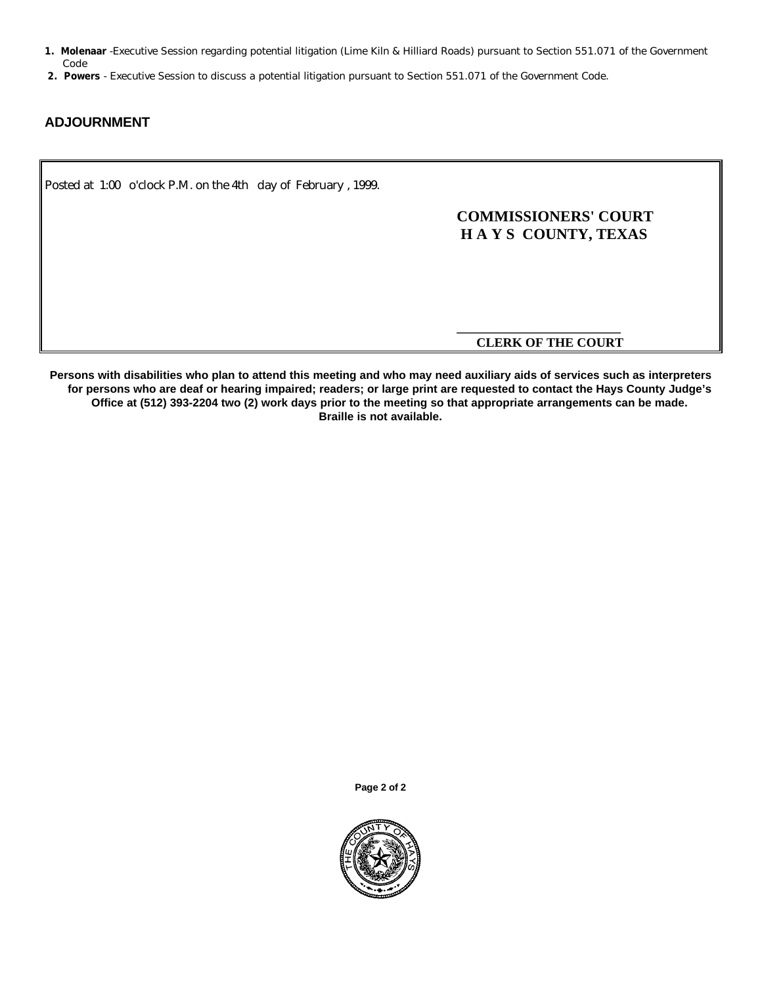- **1. Molenaar** -Executive Session regarding potential litigation (Lime Kiln & Hilliard Roads) pursuant to Section 551.071 of the Government Code
- **2. Powers**  Executive Session to discuss a potential litigation pursuant to Section 551.071 of the Government Code.

## **ADJOURNMENT**

Posted at 1:00 o'clock P.M. on the 4th day of February , 1999.

# **COMMISSIONERS' COURT H A Y S COUNTY, TEXAS**

### **\_\_\_\_\_\_\_\_\_\_\_\_\_\_\_\_\_\_\_\_\_\_\_\_\_ CLERK OF THE COURT**

**Persons with disabilities who plan to attend this meeting and who may need auxiliary aids of services such as interpreters for persons who are deaf or hearing impaired; readers; or large print are requested to contact the Hays County Judge's Office at (512) 393-2204 two (2) work days prior to the meeting so that appropriate arrangements can be made. Braille is not available.**

**Page 2 of 2**